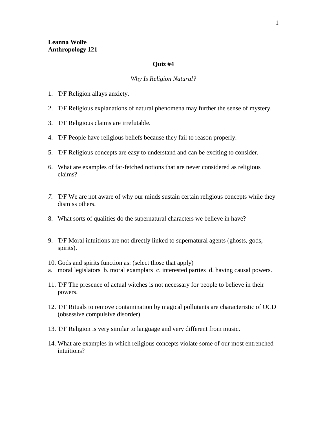## **Quiz #4**

## *Why Is Religion Natural?*

- 1. T/F Religion allays anxiety.
- 2. T/F Religious explanations of natural phenomena may further the sense of mystery.
- 3. T/F Religious claims are irrefutable.
- 4. T/F People have religious beliefs because they fail to reason properly.
- 5. T/F Religious concepts are easy to understand and can be exciting to consider.
- 6. What are examples of far-fetched notions that are never considered as religious claims?
- *7.* T/F We are not aware of why our minds sustain certain religious concepts while they dismiss others.
- 8. What sorts of qualities do the supernatural characters we believe in have?
- 9. T/F Moral intuitions are not directly linked to supernatural agents (ghosts, gods, spirits).
- 10. Gods and spirits function as: (select those that apply)
- a. moral legislators b. moral examplars c. interested parties d. having causal powers.
- 11. T/F The presence of actual witches is not necessary for people to believe in their powers.
- 12. T/F Rituals to remove contamination by magical pollutants are characteristic of OCD (obsessive compulsive disorder)
- 13. T/F Religion is very similar to language and very different from music.
- 14. What are examples in which religious concepts violate some of our most entrenched intuitions?